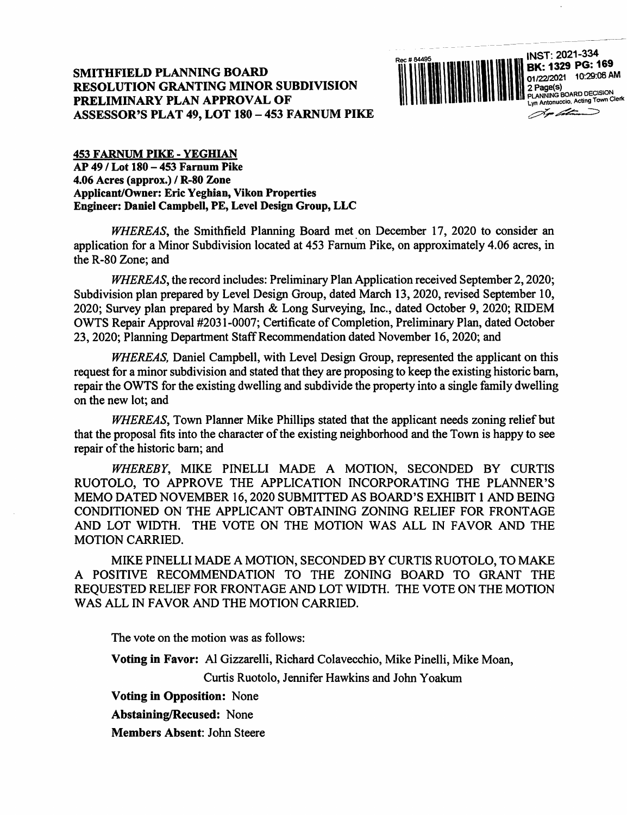

453 FARNUM PIKE - YEGHIAN AP 49 / Lot 180 - 453 Farnum Pike 4.06 Acres (approx.) / R-80 Zone Applicant/Owner: Eric Yeghian, Vikon Properties Engineer: Daniel Campbell, PE, Level Design Group, LLC

 $WHEREAS$ , the Smithfield Planning Board met on December 17, 2020 to consider an application for a Minor Subdivision located at 453 Famum Pike, on approximately 4.06 acres, in the R-80 Zone; and

WHEREAS, the record includes: Preliminary Plan Application received September 2,2020; Subdivision plan prepared by Level Design Group, dated March 13,2020, revised September 10, 2020; Survey plan prepared by Marsh & Long Surveying, Inc., dated October 9, 2020; REDEM OWTS Repair Approval #2031-0007; Certificate of Completion, Preliminary Plan, dated October 23, 2020; Planning Department Staff Recommendation dated November 16,2020; and

WHEREAS, Daniel Campbell, with Level Design Group, represented the applicant on this request for a minor subdivision and stated that they are proposing to keep the existing historic bam, repair the OWTS for the existing dwelling and subdivide the property into a single family dwelling on the new lot; and

WHEREAS, Town Planner Mike Phillips stated that the applicant needs zoning relief but that the proposal fits into the character of the existing neighborhood and the Town is happy to see repair of the historic bam; and

WHEREBY, MIKE PINELLI MADE A MOTION, SECONDED BY CURTIS RUOTOLO, TO APPROVE THE APPLICATION INCORPORATING THE PLANNER'S MEMO DATED NOVEMBER 16,2020 SUBMITTED AS BOARD'S EXHIBIT 1 AND BEING CONDITIONED ON THE APPLICANT OBTAINING ZONING RELIEF FOR FRONTAGE AND LOT WIDTH. THE VOTE ON THE MOTION WAS ALL IN FAVOR AND THE MOTION CARRIED.

MIKE PINELLI MADE A MOTION, SECONDED BY CURTIS RUOTOLO, TO MAKE A POSITIVE RECOMMENDATION TO THE ZONING BOARD TO GRANT THE REQUESTED RELIEF FOR FRONTAGE AND LOT WIDTH. THE VOTE ON THE MOTION WAS ALL IN FAVOR AND THE MOTION CARRIED.

The vote on the motion was as follows:

Voting in Favor: A1 Gizzarelli, Richard Colavecchio, Mike Pinelli, Mike Moan,

Curtis Ruotolo, Jennifer Hawkins and John Yoakum

Voting in Opposition: None

Abstaining/Recused: None

Members Absent: John Steere